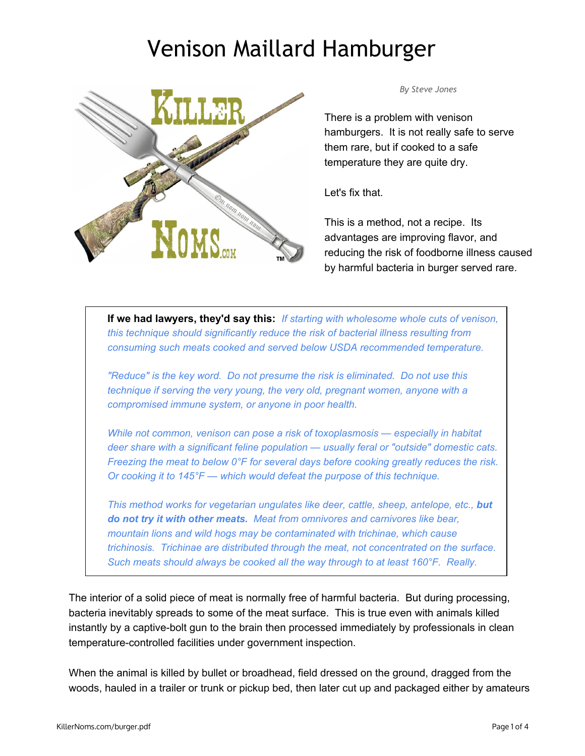## Venison Maillard Hamburger



*By Steve Jones*

There is a problem with venison hamburgers. It is not really safe to serve them rare, but if cooked to a safe temperature they are quite dry.

Let's fix that.

This is a method, not a recipe. Its advantages are improving flavor, and reducing the risk of foodborne illness caused by harmful bacteria in burger served rare.

**If we had lawyers, they'd say this:** *If starting with wholesome whole cuts of venison, this technique should significantly reduce the risk of bacterial illness resulting from consuming such meats cooked and served below USDA recommended temperature.*

*"Reduce" is the key word. Do not presume the risk is eliminated. Do not use this technique if serving the very young, the very old, pregnant women, anyone with a compromised immune system, or anyone in poor health.*

*While not common, venison can pose a risk of toxoplasmosis — especially in habitat deer share with a significant feline population — usually feral or "outside" domestic cats. Freezing the meat to below 0°F for several days before cooking greatly reduces the risk. Or cooking it to 145°F — which would defeat the purpose of this technique.*

*This method works for vegetarian ungulates like deer, cattle, sheep, antelope, etc., but do not try it with other meats. Meat from omnivores and carnivores like bear, mountain lions and wild hogs may be contaminated with trichinae, which cause trichinosis. Trichinae are distributed through the meat, not concentrated on the surface. Such meats should always be cooked all the way through to at least 160°F. Really.*

The interior of a solid piece of meat is normally free of harmful bacteria. But during processing, bacteria inevitably spreads to some of the meat surface. This is true even with animals killed instantly by a captive-bolt gun to the brain then processed immediately by professionals in clean temperature-controlled facilities under government inspection.

When the animal is killed by bullet or broadhead, field dressed on the ground, dragged from the woods, hauled in a trailer or trunk or pickup bed, then later cut up and packaged either by amateurs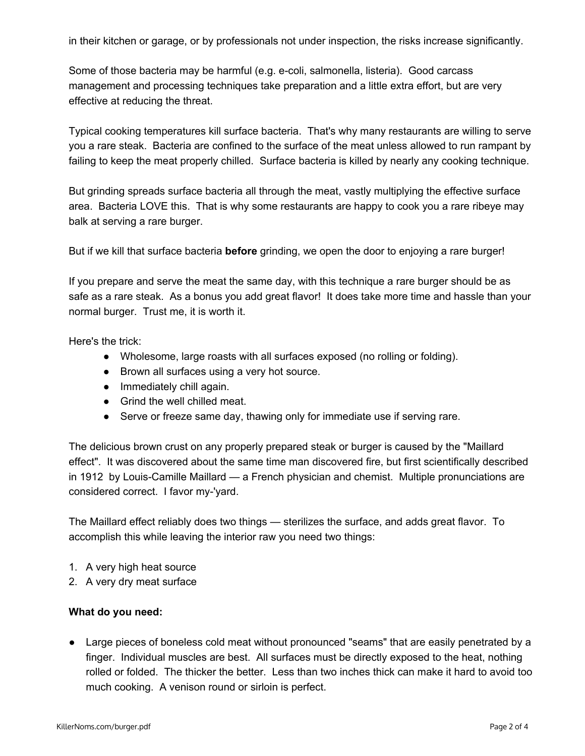in their kitchen or garage, or by professionals not under inspection, the risks increase significantly.

Some of those bacteria may be harmful (e.g. e-coli, salmonella, listeria). Good carcass management and processing techniques take preparation and a little extra effort, but are very effective at reducing the threat.

Typical cooking temperatures kill surface bacteria. That's why many restaurants are willing to serve you a rare steak. Bacteria are confined to the surface of the meat unless allowed to run rampant by failing to keep the meat properly chilled. Surface bacteria is killed by nearly any cooking technique.

But grinding spreads surface bacteria all through the meat, vastly multiplying the effective surface area. Bacteria LOVE this. That is why some restaurants are happy to cook you a rare ribeye may balk at serving a rare burger.

But if we kill that surface bacteria **before** grinding, we open the door to enjoying a rare burger!

If you prepare and serve the meat the same day, with this technique a rare burger should be as safe as a rare steak. As a bonus you add great flavor! It does take more time and hassle than your normal burger. Trust me, it is worth it.

Here's the trick:

- Wholesome, large roasts with all surfaces exposed (no rolling or folding).
- Brown all surfaces using a very hot source.
- Immediately chill again.
- Grind the well chilled meat.
- Serve or freeze same day, thawing only for immediate use if serving rare.

The delicious brown crust on any properly prepared steak or burger is caused by the "Maillard effect". It was discovered about the same time man discovered fire, but first scientifically described in 1912 by Louis-Camille Maillard — a French physician and chemist. Multiple pronunciations are considered correct. I favor my-'yard.

The Maillard effect reliably does two things — sterilizes the surface, and adds great flavor. To accomplish this while leaving the interior raw you need two things:

- 1. A very high heat source
- 2. A very dry meat surface

## **What do you need:**

• Large pieces of boneless cold meat without pronounced "seams" that are easily penetrated by a finger. Individual muscles are best. All surfaces must be directly exposed to the heat, nothing rolled or folded. The thicker the better. Less than two inches thick can make it hard to avoid too much cooking. A venison round or sirloin is perfect.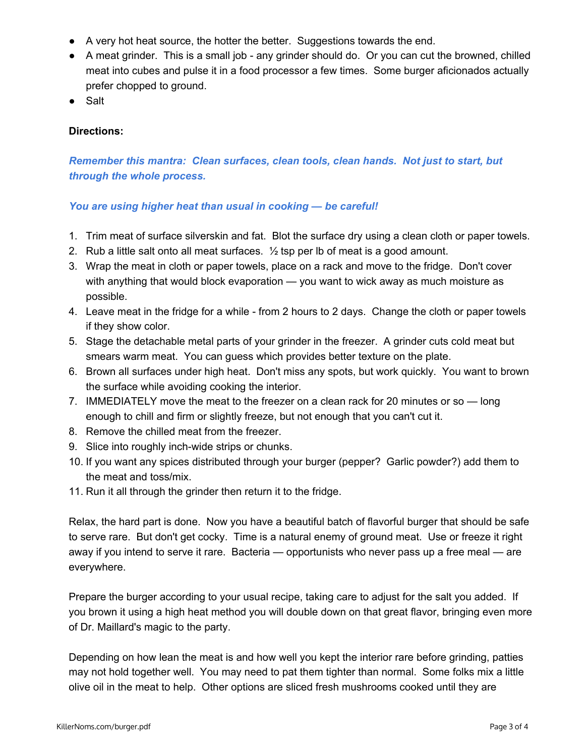- A very hot heat source, the hotter the better. Suggestions towards the end.
- A meat grinder. This is a small job any grinder should do. Or you can cut the browned, chilled meat into cubes and pulse it in a food processor a few times. Some burger aficionados actually prefer chopped to ground.
- Salt

## **Directions:**

*Remember this mantra: Clean surfaces, clean tools, clean hands. Not just to start, but through the whole process.*

## *You are using higher heat than usual in cooking — be careful!*

- 1. Trim meat of surface silverskin and fat. Blot the surface dry using a clean cloth or paper towels.
- 2. Rub a little salt onto all meat surfaces.  $\frac{1}{2}$  tsp per lb of meat is a good amount.
- 3. Wrap the meat in cloth or paper towels, place on a rack and move to the fridge. Don't cover with anything that would block evaporation — you want to wick away as much moisture as possible.
- 4. Leave meat in the fridge for a while from 2 hours to 2 days. Change the cloth or paper towels if they show color.
- 5. Stage the detachable metal parts of your grinder in the freezer. A grinder cuts cold meat but smears warm meat. You can guess which provides better texture on the plate.
- 6. Brown all surfaces under high heat. Don't miss any spots, but work quickly. You want to brown the surface while avoiding cooking the interior.
- 7. IMMEDIATELY move the meat to the freezer on a clean rack for 20 minutes or so long enough to chill and firm or slightly freeze, but not enough that you can't cut it.
- 8. Remove the chilled meat from the freezer.
- 9. Slice into roughly inch-wide strips or chunks.
- 10. If you want any spices distributed through your burger (pepper? Garlic powder?) add them to the meat and toss/mix.
- 11. Run it all through the grinder then return it to the fridge.

Relax, the hard part is done. Now you have a beautiful batch of flavorful burger that should be safe to serve rare. But don't get cocky. Time is a natural enemy of ground meat. Use or freeze it right away if you intend to serve it rare. Bacteria — opportunists who never pass up a free meal — are everywhere.

Prepare the burger according to your usual recipe, taking care to adjust for the salt you added. If you brown it using a high heat method you will double down on that great flavor, bringing even more of Dr. Maillard's magic to the party.

Depending on how lean the meat is and how well you kept the interior rare before grinding, patties may not hold together well. You may need to pat them tighter than normal. Some folks mix a little olive oil in the meat to help. Other options are sliced fresh mushrooms cooked until they are